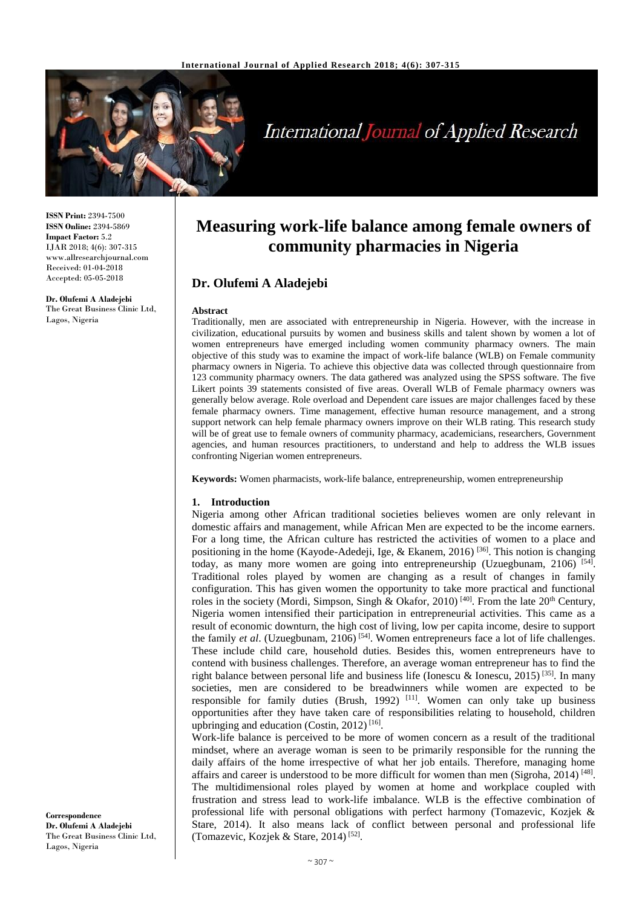

# **International Journal of Applied Research**

**ISSN Print:** 2394-7500 **ISSN Online:** 2394-5869 **Impact Factor:** 5.2 IJAR 2018; 4(6): 307-315 www.allresearchjournal.com Received: 01-04-2018 Accepted: 05-05-2018

**Dr. Olufemi A Aladejebi** The Great Business Clinic Ltd, Lagos, Nigeria

## **Measuring work-life balance among female owners of community pharmacies in Nigeria**

## **Dr. Olufemi A Aladejebi**

#### **Abstract**

Traditionally, men are associated with entrepreneurship in Nigeria. However, with the increase in civilization, educational pursuits by women and business skills and talent shown by women a lot of women entrepreneurs have emerged including women community pharmacy owners. The main objective of this study was to examine the impact of work-life balance (WLB) on Female community pharmacy owners in Nigeria. To achieve this objective data was collected through questionnaire from 123 community pharmacy owners. The data gathered was analyzed using the SPSS software. The five Likert points 39 statements consisted of five areas. Overall WLB of Female pharmacy owners was generally below average. Role overload and Dependent care issues are major challenges faced by these female pharmacy owners. Time management, effective human resource management, and a strong support network can help female pharmacy owners improve on their WLB rating. This research study will be of great use to female owners of community pharmacy, academicians, researchers, Government agencies, and human resources practitioners, to understand and help to address the WLB issues confronting Nigerian women entrepreneurs.

**Keywords:** Women pharmacists, work-life balance, entrepreneurship, women entrepreneurship

#### **1. Introduction**

Nigeria among other African traditional societies believes women are only relevant in domestic affairs and management, while African Men are expected to be the income earners. For a long time, the African culture has restricted the activities of women to a place and positioning in the home (Kayode-Adedeji, Ige, & Ekanem, 2016)<sup>[36]</sup>. This notion is changing today, as many more women are going into entrepreneurship (Uzuegbunam, 2106)  $[54]$ . Traditional roles played by women are changing as a result of changes in family configuration. This has given women the opportunity to take more practical and functional roles in the society (Mordi, Simpson, Singh & Okafor, 2010)<sup>[40]</sup>. From the late  $20<sup>th</sup>$  Century, Nigeria women intensified their participation in entrepreneurial activities. This came as a result of economic downturn, the high cost of living, low per capita income, desire to support the family *et al.* (Uzuegbunam, 2106)<sup>[54]</sup>. Women entrepreneurs face a lot of life challenges. These include child care, household duties. Besides this, women entrepreneurs have to contend with business challenges. Therefore, an average woman entrepreneur has to find the right balance between personal life and business life (Ionescu & Ionescu, 2015)<sup>[35]</sup>. In many societies, men are considered to be breadwinners while women are expected to be responsible for family duties (Brush, 1992)<sup>[11]</sup>. Women can only take up business opportunities after they have taken care of responsibilities relating to household, children upbringing and education (Costin, 2012)<sup>[16]</sup>.

Work-life balance is perceived to be more of women concern as a result of the traditional mindset, where an average woman is seen to be primarily responsible for the running the daily affairs of the home irrespective of what her job entails. Therefore, managing home affairs and career is understood to be more difficult for women than men (Sigroha, 2014)<sup>[48]</sup>. The multidimensional roles played by women at home and workplace coupled with frustration and stress lead to work-life imbalance. WLB is the effective combination of professional life with personal obligations with perfect harmony (Tomazevic, Kozjek & Stare, 2014). It also means lack of conflict between personal and professional life (Tomazevic, Kozjek & Stare, 2014)<sup>[52]</sup>.

**Correspondence Dr. Olufemi A Aladejebi** The Great Business Clinic Ltd, Lagos, Nigeria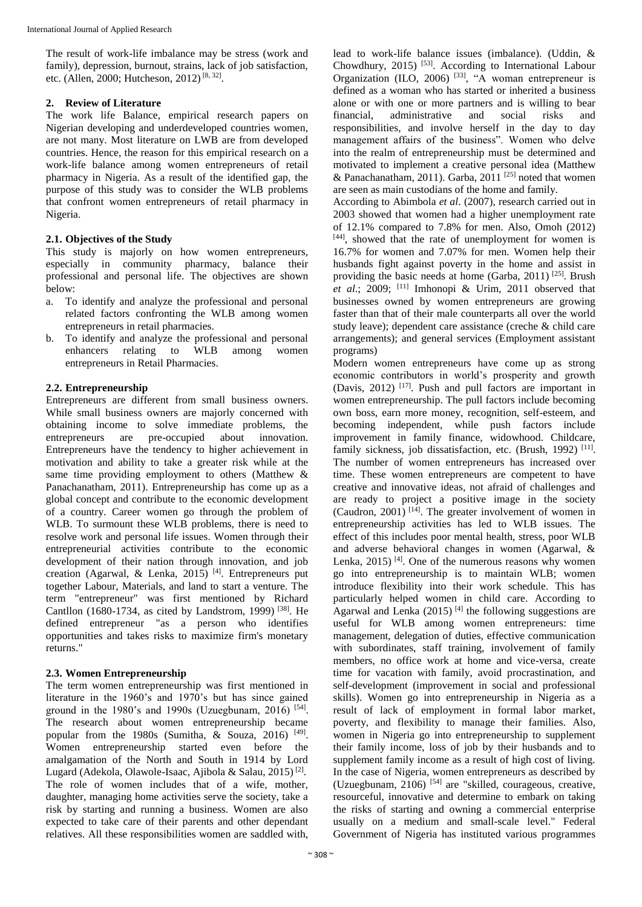The result of work-life imbalance may be stress (work and family), depression, burnout, strains, lack of job satisfaction, etc. (Allen, 2000; Hutcheson, 2012)<sup>[8, 32]</sup>.

## **2. Review of Literature**

The work life Balance, empirical research papers on Nigerian developing and underdeveloped countries women, are not many. Most literature on LWB are from developed countries. Hence, the reason for this empirical research on a work-life balance among women entrepreneurs of retail pharmacy in Nigeria. As a result of the identified gap, the purpose of this study was to consider the WLB problems that confront women entrepreneurs of retail pharmacy in Nigeria.

## **2.1. Objectives of the Study**

This study is majorly on how women entrepreneurs, especially in community pharmacy, balance their professional and personal life. The objectives are shown below:

- a. To identify and analyze the professional and personal related factors confronting the WLB among women entrepreneurs in retail pharmacies.
- b. To identify and analyze the professional and personal enhancers relating to WLB among women entrepreneurs in Retail Pharmacies.

## **2.2. Entrepreneurship**

Entrepreneurs are different from small business owners. While small business owners are majorly concerned with obtaining income to solve immediate problems, the entrepreneurs are pre-occupied about innovation. Entrepreneurs have the tendency to higher achievement in motivation and ability to take a greater risk while at the same time providing employment to others (Matthew & Panachanatham, 2011). Entrepreneurship has come up as a global concept and contribute to the economic development of a country. Career women go through the problem of WLB. To surmount these WLB problems, there is need to resolve work and personal life issues. Women through their entrepreneurial activities contribute to the economic development of their nation through innovation, and job creation (Agarwal, & Lenka, 2015)<sup>[4]</sup>. Entrepreneurs put together Labour, Materials, and land to start a venture. The term "entrepreneur" was first mentioned by Richard Cantllon (1680-1734, as cited by Landstrom, 1999)<sup>[38]</sup>. He defined entrepreneur "as a person who identifies opportunities and takes risks to maximize firm's monetary returns."

## **2.3. Women Entrepreneurship**

The term women entrepreneurship was first mentioned in literature in the 1960's and 1970's but has since gained ground in the 1980's and 1990s (Uzuegbunam, 2016)<sup>[54]</sup>. The research about women entrepreneurship became popular from the 1980s (Sumitha,  $\&$  Souza, 2016)<sup>[49]</sup>. Women entrepreneurship started even before the amalgamation of the North and South in 1914 by Lord Lugard (Adekola, Olawole-Isaac, Ajibola & Salau, 2015)<sup>[2]</sup>. The role of women includes that of a wife, mother, daughter, managing home activities serve the society, take a risk by starting and running a business. Women are also expected to take care of their parents and other dependant relatives. All these responsibilities women are saddled with,

lead to work-life balance issues (imbalance). (Uddin, & Chowdhury,  $2015$ <sup>[53]</sup>. According to International Labour Organization (ILO, 2006)<sup>[33]</sup>, "A woman entrepreneur is defined as a woman who has started or inherited a business alone or with one or more partners and is willing to bear financial, administrative and social risks and responsibilities, and involve herself in the day to day management affairs of the business". Women who delve into the realm of entrepreneurship must be determined and motivated to implement a creative personal idea (Matthew & Panachanatham, 2011). Garba, 2011<sup>[25]</sup> noted that women are seen as main custodians of the home and family.

According to Abimbola *et al*. (2007), research carried out in 2003 showed that women had a higher unemployment rate of 12.1% compared to 7.8% for men. Also, Omoh (2012) [44], showed that the rate of unemployment for women is 16.7% for women and 7.07% for men. Women help their husbands fight against poverty in the home and assist in providing the basic needs at home (Garba, 2011)<sup>[25]</sup>. Brush *et al*.; 2009; [11] Imhonopi & Urim, 2011 observed that businesses owned by women entrepreneurs are growing faster than that of their male counterparts all over the world study leave); dependent care assistance (creche & child care arrangements); and general services (Employment assistant programs)

Modern women entrepreneurs have come up as strong economic contributors in world's prosperity and growth (Davis, 2012)<sup>[17]</sup>. Push and pull factors are important in women entrepreneurship. The pull factors include becoming own boss, earn more money, recognition, self-esteem, and becoming independent, while push factors include improvement in family finance, widowhood. Childcare, family sickness, job dissatisfaction, etc. (Brush, 1992)<sup>[11]</sup>. The number of women entrepreneurs has increased over time. These women entrepreneurs are competent to have creative and innovative ideas, not afraid of challenges and are ready to project a positive image in the society (Caudron, 2001)<sup>[14]</sup>. The greater involvement of women in entrepreneurship activities has led to WLB issues. The effect of this includes poor mental health, stress, poor WLB and adverse behavioral changes in women (Agarwal, & Lenka,  $2015$ <sup>[4]</sup>. One of the numerous reasons why women go into entrepreneurship is to maintain WLB; women introduce flexibility into their work schedule. This has particularly helped women in child care. According to Agarwal and Lenka  $(2015)$ <sup>[4]</sup> the following suggestions are useful for WLB among women entrepreneurs: time management, delegation of duties, effective communication with subordinates, staff training, involvement of family members, no office work at home and vice-versa, create time for vacation with family, avoid procrastination, and self-development (improvement in social and professional skills). Women go into entrepreneurship in Nigeria as a result of lack of employment in formal labor market, poverty, and flexibility to manage their families. Also, women in Nigeria go into entrepreneurship to supplement their family income, loss of job by their husbands and to supplement family income as a result of high cost of living. In the case of Nigeria, women entrepreneurs as described by (Uzuegbunam,  $2106$ )<sup>[54]</sup> are "skilled, courageous, creative, resourceful, innovative and determine to embark on taking the risks of starting and owning a commercial enterprise usually on a medium and small-scale level." Federal Government of Nigeria has instituted various programmes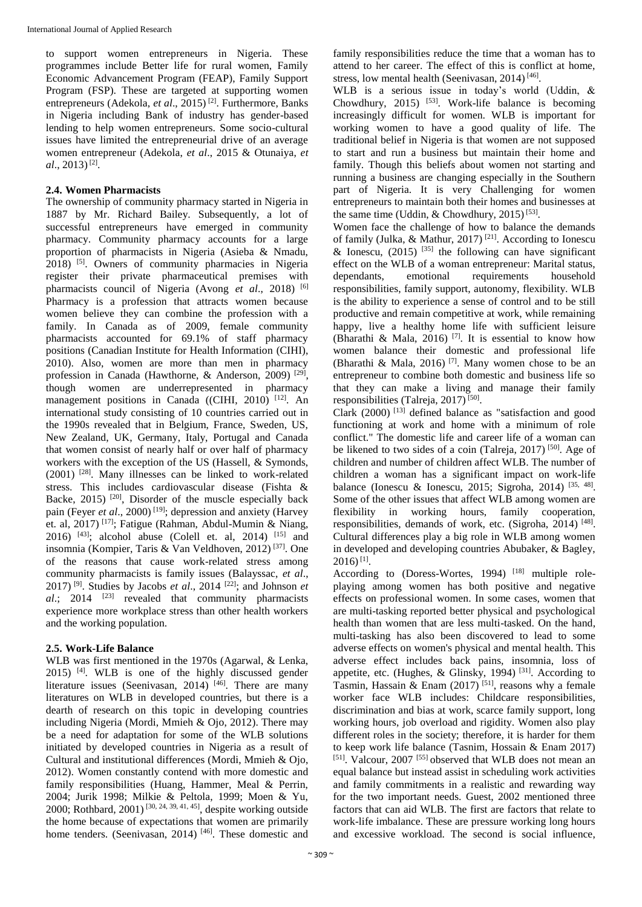to support women entrepreneurs in Nigeria. These programmes include Better life for rural women, Family Economic Advancement Program (FEAP), Family Support Program (FSP). These are targeted at supporting women entrepreneurs (Adekola, *et al.*, 2015)<sup>[2]</sup>. Furthermore, Banks in Nigeria including Bank of industry has gender-based lending to help women entrepreneurs. Some socio-cultural issues have limited the entrepreneurial drive of an average women entrepreneur (Adekola, *et al*., 2015 & Otunaiya, *et al*., 2013) [2] .

## **2.4. Women Pharmacists**

The ownership of community pharmacy started in Nigeria in 1887 by Mr. Richard Bailey. Subsequently, a lot of successful entrepreneurs have emerged in community pharmacy. Community pharmacy accounts for a large proportion of pharmacists in Nigeria (Asieba & Nmadu, 2018) [5] . Owners of community pharmacies in Nigeria register their private pharmaceutical premises with pharmacists council of Nigeria (Avong *et al*., 2018) [6] Pharmacy is a profession that attracts women because women believe they can combine the profession with a family. In Canada as of 2009, female community pharmacists accounted for 69.1% of staff pharmacy positions (Canadian Institute for Health Information (CIHI), 2010). Also, women are more than men in pharmacy profession in Canada (Hawthorne, & Anderson, 2009)<sup>[29]</sup>, though women are underrepresented in pharmacy management positions in Canada ((CIHI, 2010)<sup>[12]</sup>. An international study consisting of 10 countries carried out in the 1990s revealed that in Belgium, France, Sweden, US, New Zealand, UK, Germany, Italy, Portugal and Canada that women consist of nearly half or over half of pharmacy workers with the exception of the US (Hassell, & Symonds, (2001) [28] . Many illnesses can be linked to work-related stress. This includes cardiovascular disease (Fishta & Backe, 2015)<sup>[20]</sup>, Disorder of the muscle especially back pain (Feyer *et al.*, 2000)<sup>[19]</sup>; depression and anxiety (Harvey et. al, 2017)<sup>[17]</sup>; Fatigue (Rahman, Abdul-Mumin & Niang, 2016)  $[43]$ ; alcohol abuse (Colell et. al, 2014)  $[15]$  and insomnia (Kompier, Taris & Van Veldhoven, 2012) [37] . One of the reasons that cause work-related stress among community pharmacists is family issues (Balayssac, *et al*., 2017) [9] . Studies by Jacobs *et al*., 2014 [22] ; and Johnson *et*  al.; 2014 <sup>[23]</sup> revealed that community pharmacists experience more workplace stress than other health workers and the working population.

## **2.5. Work-Life Balance**

WLB was first mentioned in the 1970s (Agarwal, & Lenka, 2015) [4]. WLB is one of the highly discussed gender literature issues (Seenivasan, 2014)<sup>[46]</sup>. There are many literatures on WLB in developed countries, but there is a dearth of research on this topic in developing countries including Nigeria (Mordi, Mmieh & Ojo, 2012). There may be a need for adaptation for some of the WLB solutions initiated by developed countries in Nigeria as a result of Cultural and institutional differences (Mordi, Mmieh & Ojo, 2012). Women constantly contend with more domestic and family responsibilities (Huang, Hammer, Meal & Perrin, 2004; Jurik 1998; Milkie & Peltola, 1999; Moen & Yu, 2000; Rothbard, 2001)<sup>[30, 24, 39, 41, 45]</sup>, despite working outside the home because of expectations that women are primarily home tenders. (Seenivasan, 2014)<sup>[46]</sup>. These domestic and family responsibilities reduce the time that a woman has to attend to her career. The effect of this is conflict at home, stress, low mental health (Seenivasan, 2014)<sup>[46]</sup>.

WLB is a serious issue in today's world (Uddin, & Chowdhury,  $2015$ ) <sup>[53]</sup>. Work-life balance is becoming increasingly difficult for women. WLB is important for working women to have a good quality of life. The traditional belief in Nigeria is that women are not supposed to start and run a business but maintain their home and family. Though this beliefs about women not starting and running a business are changing especially in the Southern part of Nigeria. It is very Challenging for women entrepreneurs to maintain both their homes and businesses at the same time (Uddin, & Chowdhury, 2015)<sup>[53]</sup>.

Women face the challenge of how to balance the demands of family (Julka, & Mathur, 2017)<sup>[21]</sup>. According to Ionescu & Ionescu,  $(2015)$ <sup>[35]</sup> the following can have significant effect on the WLB of a woman entrepreneur: Marital status, dependants, emotional requirements household responsibilities, family support, autonomy, flexibility. WLB is the ability to experience a sense of control and to be still productive and remain competitive at work, while remaining happy, live a healthy home life with sufficient leisure (Bharathi & Mala, 2016)<sup>[7]</sup>. It is essential to know how women balance their domestic and professional life (Bharathi & Mala, 2016)<sup>[7]</sup>. Many women chose to be an entrepreneur to combine both domestic and business life so that they can make a living and manage their family responsibilities (Talreja, 2017)<sup>[50]</sup>.

Clark  $(2000)$ <sup>[13]</sup> defined balance as "satisfaction and good functioning at work and home with a minimum of role conflict." The domestic life and career life of a woman can be likened to two sides of a coin (Talreja, 2017)<sup>[50]</sup>. Age of children and number of children affect WLB. The number of children a woman has a significant impact on work-life balance (Ionescu & Ionescu, 2015; Sigroha, 2014)  $[35, 48]$ . Some of the other issues that affect WLB among women are flexibility in working hours, family cooperation, responsibilities, demands of work, etc. (Sigroha, 2014)<sup>[48]</sup>. Cultural differences play a big role in WLB among women in developed and developing countries Abubaker, & Bagley,  $2016$ <sup>[1]</sup>.

According to (Doress-Wortes, 1994)  $[18]$  multiple roleplaying among women has both positive and negative effects on professional women. In some cases, women that are multi-tasking reported better physical and psychological health than women that are less multi-tasked. On the hand, multi-tasking has also been discovered to lead to some adverse effects on women's physical and mental health. This adverse effect includes back pains, insomnia, loss of appetite, etc. (Hughes, & Glinsky, 1994)<sup>[31]</sup>. According to Tasmin, Hassain & Enam  $(2017)$ <sup>[51]</sup>, reasons why a female worker face WLB includes: Childcare responsibilities, discrimination and bias at work, scarce family support, long working hours, job overload and rigidity. Women also play different roles in the society; therefore, it is harder for them to keep work life balance (Tasnim, Hossain & Enam 2017) [51]. Valcour, 2007<sup>[55]</sup> observed that WLB does not mean an equal balance but instead assist in scheduling work activities and family commitments in a realistic and rewarding way for the two important needs. Guest, 2002 mentioned three factors that can aid WLB. The first are factors that relate to work-life imbalance. These are pressure working long hours and excessive workload. The second is social influence,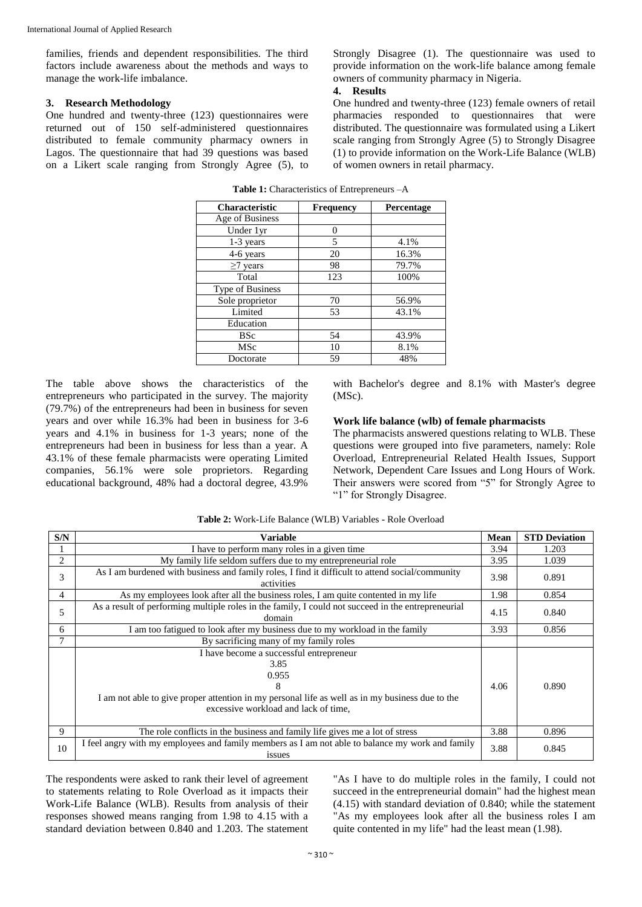families, friends and dependent responsibilities. The third factors include awareness about the methods and ways to manage the work-life imbalance.

#### **3. Research Methodology**

One hundred and twenty-three (123) questionnaires were returned out of 150 self-administered questionnaires distributed to female community pharmacy owners in Lagos. The questionnaire that had 39 questions was based on a Likert scale ranging from Strongly Agree (5), to

Strongly Disagree (1). The questionnaire was used to provide information on the work-life balance among female owners of community pharmacy in Nigeria.

#### **4. Results**

One hundred and twenty-three (123) female owners of retail pharmacies responded to questionnaires that were distributed. The questionnaire was formulated using a Likert scale ranging from Strongly Agree (5) to Strongly Disagree (1) to provide information on the Work-Life Balance (WLB) of women owners in retail pharmacy.

| <b>Characteristic</b> | Frequency | Percentage |
|-----------------------|-----------|------------|
| Age of Business       |           |            |
| Under 1yr             | 0         |            |
| 1-3 years             | 5         | 4.1%       |
| 4-6 years             | 20        | 16.3%      |
| $\geq$ 7 years        | 98        | 79.7%      |
| Total                 | 123       | 100%       |
| Type of Business      |           |            |
| Sole proprietor       | 70        | 56.9%      |
| Limited               | 53        | 43.1%      |
| Education             |           |            |
| BSc                   | 54        | 43.9%      |
| MSc                   | 10        | 8.1%       |
| Doctorate             | 59        | 48%        |

**Table 1:** Characteristics of Entrepreneurs –A

The table above shows the characteristics of the entrepreneurs who participated in the survey. The majority (79.7%) of the entrepreneurs had been in business for seven years and over while 16.3% had been in business for 3-6 years and 4.1% in business for 1-3 years; none of the entrepreneurs had been in business for less than a year. A 43.1% of these female pharmacists were operating Limited companies, 56.1% were sole proprietors. Regarding educational background, 48% had a doctoral degree, 43.9%

with Bachelor's degree and 8.1% with Master's degree (MSc).

#### **Work life balance (wlb) of female pharmacists**

The pharmacists answered questions relating to WLB. These questions were grouped into five parameters, namely: Role Overload, Entrepreneurial Related Health Issues, Support Network, Dependent Care Issues and Long Hours of Work. Their answers were scored from "5" for Strongly Agree to "<sup>1</sup>" for Strongly Disagree.

| S/N | <b>Variable</b>                                                                                                                                                                                                           | Mean | <b>STD Deviation</b> |
|-----|---------------------------------------------------------------------------------------------------------------------------------------------------------------------------------------------------------------------------|------|----------------------|
|     | I have to perform many roles in a given time                                                                                                                                                                              | 3.94 | 1.203                |
| 2   | My family life seldom suffers due to my entrepreneurial role                                                                                                                                                              | 3.95 | 1.039                |
| 3   | As I am burdened with business and family roles, I find it difficult to attend social/community<br>activities                                                                                                             | 3.98 | 0.891                |
| 4   | As my employees look after all the business roles, I am quite contented in my life                                                                                                                                        | 1.98 | 0.854                |
| 5   | As a result of performing multiple roles in the family, I could not succeed in the entrepreneurial<br>domain                                                                                                              | 4.15 | 0.840                |
| 6   | I am too fatigued to look after my business due to my workload in the family                                                                                                                                              | 3.93 | 0.856                |
| 7   | By sacrificing many of my family roles                                                                                                                                                                                    |      |                      |
|     | I have become a successful entrepreneur<br>3.85<br>0.955<br>4.06<br>0.890<br>8<br>I am not able to give proper attention in my personal life as well as in my business due to the<br>excessive workload and lack of time, |      |                      |
| 9   | The role conflicts in the business and family life gives me a lot of stress                                                                                                                                               | 3.88 | 0.896                |
| 10  | I feel angry with my employees and family members as I am not able to balance my work and family<br><i>ssues</i>                                                                                                          | 3.88 | 0.845                |

**Table 2:** Work-Life Balance (WLB) Variables - Role Overload

The respondents were asked to rank their level of agreement to statements relating to Role Overload as it impacts their Work-Life Balance (WLB). Results from analysis of their responses showed means ranging from 1.98 to 4.15 with a standard deviation between 0.840 and 1.203. The statement

"As I have to do multiple roles in the family, I could not succeed in the entrepreneurial domain" had the highest mean (4.15) with standard deviation of 0.840; while the statement "As my employees look after all the business roles I am quite contented in my life" had the least mean (1.98).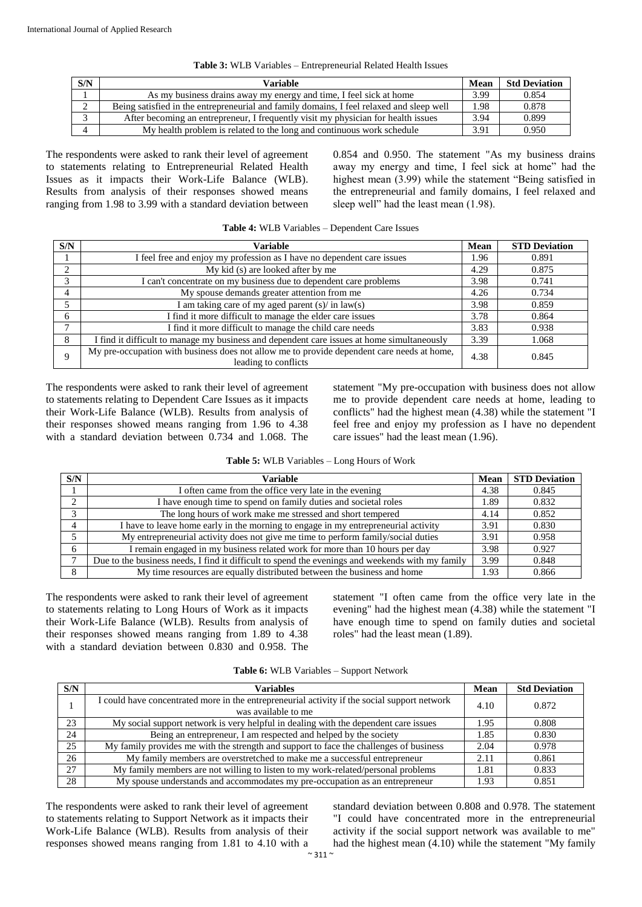| S/N | Variable                                                                                 | Mean | <b>Std Deviation</b> |
|-----|------------------------------------------------------------------------------------------|------|----------------------|
|     | As my business drains away my energy and time, I feel sick at home                       | 3.99 | 0.854                |
|     | Being satisfied in the entrepreneurial and family domains, I feel relaxed and sleep well | 1.98 | 0.878                |
|     | After becoming an entrepreneur, I frequently visit my physician for health issues        | 3.94 | 0.899                |

4 My health problem is related to the long and continuous work schedule 3.91 0.950

#### **Table 3:** WLB Variables – Entrepreneurial Related Health Issues

The respondents were asked to rank their level of agreement to statements relating to Entrepreneurial Related Health Issues as it impacts their Work-Life Balance (WLB). Results from analysis of their responses showed means ranging from 1.98 to 3.99 with a standard deviation between 0.854 and 0.950. The statement "As my business drains away my energy and time, I feel sick at home" had the highest mean (3.99) while the statement "Being satisfied in the entrepreneurial and family domains, I feel relaxed and sleep well" had the least mean (1.98).

| S/N          | Variable                                                                                                           | <b>Mean</b> | <b>STD Deviation</b> |
|--------------|--------------------------------------------------------------------------------------------------------------------|-------------|----------------------|
|              | I feel free and enjoy my profession as I have no dependent care issues                                             | 1.96        | 0.891                |
| 2            | My kid (s) are looked after by me                                                                                  | 4.29        | 0.875                |
| 3            | I can't concentrate on my business due to dependent care problems                                                  | 3.98        | 0.741                |
| 4            | My spouse demands greater attention from me                                                                        | 4.26        | 0.734                |
|              | I am taking care of my aged parent $(s)$ in law(s)                                                                 | 3.98        | 0.859                |
| 6            | I find it more difficult to manage the elder care issues                                                           | 3.78        | 0.864                |
| $\mathbf{r}$ | I find it more difficult to manage the child care needs                                                            | 3.83        | 0.938                |
| 8            | I find it difficult to manage my business and dependent care issues at home simultaneously                         | 3.39        | 1.068                |
|              | My pre-occupation with business does not allow me to provide dependent care needs at home,<br>leading to conflicts | 4.38        | 0.845                |

**Table 4:** WLB Variables – Dependent Care Issues

The respondents were asked to rank their level of agreement to statements relating to Dependent Care Issues as it impacts their Work-Life Balance (WLB). Results from analysis of their responses showed means ranging from 1.96 to 4.38 with a standard deviation between 0.734 and 1.068. The statement "My pre-occupation with business does not allow me to provide dependent care needs at home, leading to conflicts" had the highest mean (4.38) while the statement "I feel free and enjoy my profession as I have no dependent care issues" had the least mean (1.96).

| S/N    | Variable                                                                                         | Mean | <b>STD Deviation</b> |
|--------|--------------------------------------------------------------------------------------------------|------|----------------------|
|        | I often came from the office very late in the evening                                            | 4.38 | 0.845                |
| $\sim$ | I have enough time to spend on family duties and societal roles                                  | 1.89 | 0.832                |
| $\sim$ | The long hours of work make me stressed and short tempered                                       | 4.14 | 0.852                |
|        | I have to leave home early in the morning to engage in my entrepreneurial activity               | 3.91 | 0.830                |
|        | My entrepreneurial activity does not give me time to perform family/social duties                | 3.91 | 0.958                |
| 6      | I remain engaged in my business related work for more than 10 hours per day                      | 3.98 | 0.927                |
|        | Due to the business needs, I find it difficult to spend the evenings and weekends with my family | 3.99 | 0.848                |
| 8      | My time resources are equally distributed between the business and home                          | 1.93 | 0.866                |

The respondents were asked to rank their level of agreement to statements relating to Long Hours of Work as it impacts their Work-Life Balance (WLB). Results from analysis of their responses showed means ranging from 1.89 to 4.38 with a standard deviation between 0.830 and 0.958. The

statement "I often came from the office very late in the evening" had the highest mean (4.38) while the statement "I have enough time to spend on family duties and societal roles" had the least mean (1.89).

| S/N | Variables                                                                                                           | Mean | <b>Std Deviation</b> |
|-----|---------------------------------------------------------------------------------------------------------------------|------|----------------------|
|     | I could have concentrated more in the entrepreneurial activity if the social support network<br>was available to me | 4.10 | 0.872                |
| 23  | My social support network is very helpful in dealing with the dependent care issues                                 | 1.95 | 0.808                |
| 24  | Being an entrepreneur, I am respected and helped by the society                                                     | 1.85 | 0.830                |
| 25  | My family provides me with the strength and support to face the challenges of business                              | 2.04 | 0.978                |
| 26  | My family members are overstretched to make me a successful entrepreneur                                            | 2.11 | 0.861                |
| 27  | My family members are not willing to listen to my work-related/personal problems                                    | 1.81 | 0.833                |
| 28  | My spouse understands and accommodates my pre-occupation as an entrepreneur                                         | 1.93 | 0.851                |

The respondents were asked to rank their level of agreement to statements relating to Support Network as it impacts their Work-Life Balance (WLB). Results from analysis of their responses showed means ranging from 1.81 to 4.10 with a

standard deviation between 0.808 and 0.978. The statement "I could have concentrated more in the entrepreneurial activity if the social support network was available to me" had the highest mean (4.10) while the statement "My family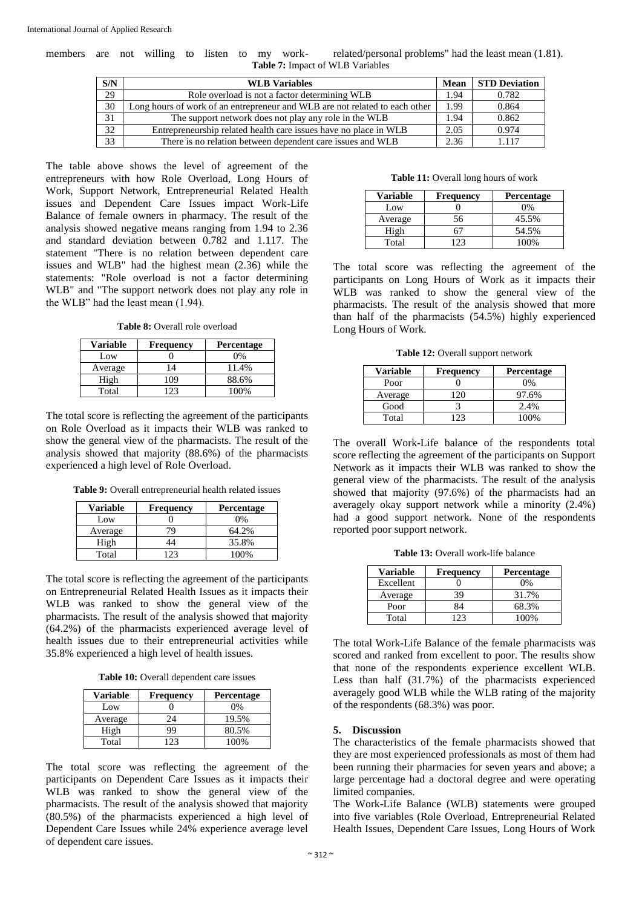members are not willing to listen to my work- related/personal problems" had the least mean (1.81). **Table 7:** Impact of WLB Variables

| S/N | <b>WLB</b> Variables                                                        | Mean | <b>STD Deviation</b> |
|-----|-----------------------------------------------------------------------------|------|----------------------|
| 29  | Role overload is not a factor determining WLB                               | 1.94 | 0.782                |
| 30  | Long hours of work of an entrepreneur and WLB are not related to each other | 1.99 | 0.864                |
| 31  | The support network does not play any role in the WLB                       | 1.94 | 0.862                |
| 32  | Entrepreneurship related health care issues have no place in WLB            | 2.05 | 0.974                |
| 33  | There is no relation between dependent care issues and WLB                  | 2.36 | 1117                 |

The table above shows the level of agreement of the entrepreneurs with how Role Overload, Long Hours of Work, Support Network, Entrepreneurial Related Health issues and Dependent Care Issues impact Work-Life Balance of female owners in pharmacy. The result of the analysis showed negative means ranging from 1.94 to 2.36 and standard deviation between 0.782 and 1.117. The statement "There is no relation between dependent care issues and WLB" had the highest mean (2.36) while the statements: "Role overload is not a factor determining WLB" and "The support network does not play any role in the WLB" had the least mean (1.94).

Table 8: Overall role overload

| <b>Variable</b> | Frequency | <b>Percentage</b> |
|-----------------|-----------|-------------------|
| Low             |           | 0%                |
| Average         | 14        | 11.4%             |
| High            | ۱09       | 88.6%             |
| Total           |           | 100%              |

The total score is reflecting the agreement of the participants on Role Overload as it impacts their WLB was ranked to show the general view of the pharmacists. The result of the analysis showed that majority (88.6%) of the pharmacists experienced a high level of Role Overload.

**Table 9:** Overall entrepreneurial health related issues

| Variable | <b>Frequency</b> | <b>Percentage</b> |
|----------|------------------|-------------------|
| Low      |                  | 0%                |
| Average  |                  | 64.2%             |
| High     | 44               | 35.8%             |
| Total    |                  | 100%              |

The total score is reflecting the agreement of the participants on Entrepreneurial Related Health Issues as it impacts their WLB was ranked to show the general view of the pharmacists. The result of the analysis showed that majority (64.2%) of the pharmacists experienced average level of health issues due to their entrepreneurial activities while 35.8% experienced a high level of health issues.

Table 10: Overall dependent care issues

| <b>Variable</b> | <b>Frequency</b> | <b>Percentage</b> |
|-----------------|------------------|-------------------|
| Low             |                  | 0%                |
| Average         | 24               | 19.5%             |
| High            | 99               | 80.5%             |
| Total           |                  | 100%              |

The total score was reflecting the agreement of the participants on Dependent Care Issues as it impacts their WLB was ranked to show the general view of the pharmacists. The result of the analysis showed that majority (80.5%) of the pharmacists experienced a high level of Dependent Care Issues while 24% experience average level of dependent care issues.

| <b>Variable</b> | <b>Frequency</b> | <b>Percentage</b> |
|-----------------|------------------|-------------------|
| Low             |                  | 0%                |
| Average         | 56               | 45.5%             |
| High            |                  | 54.5%             |
| Total           |                  | 100%              |

The total score was reflecting the agreement of the participants on Long Hours of Work as it impacts their WLB was ranked to show the general view of the pharmacists. The result of the analysis showed that more than half of the pharmacists (54.5%) highly experienced Long Hours of Work.

Table 12: Overall support network

| Variable | <b>Frequency</b> | <b>Percentage</b> |
|----------|------------------|-------------------|
| Poor     |                  | 0%                |
| Average  | 20               | 97.6%             |
| Good     |                  | 2.4%              |
| Total    |                  | 100%              |

The overall Work-Life balance of the respondents total score reflecting the agreement of the participants on Support Network as it impacts their WLB was ranked to show the general view of the pharmacists. The result of the analysis showed that majority (97.6%) of the pharmacists had an averagely okay support network while a minority (2.4%) had a good support network. None of the respondents reported poor support network.

**Table 13:** Overall work-life balance

| <b>Variable</b> | <b>Frequency</b> | <b>Percentage</b> |
|-----------------|------------------|-------------------|
| Excellent       |                  | 0%                |
| Average         | 39               | 31.7%             |
| Poor            | 84               | 68.3%             |
| Total           | 123              | 100%              |

The total Work-Life Balance of the female pharmacists was scored and ranked from excellent to poor. The results show that none of the respondents experience excellent WLB. Less than half (31.7%) of the pharmacists experienced averagely good WLB while the WLB rating of the majority of the respondents (68.3%) was poor.

#### **5. Discussion**

The characteristics of the female pharmacists showed that they are most experienced professionals as most of them had been running their pharmacies for seven years and above; a large percentage had a doctoral degree and were operating limited companies.

The Work-Life Balance (WLB) statements were grouped into five variables (Role Overload, Entrepreneurial Related Health Issues, Dependent Care Issues, Long Hours of Work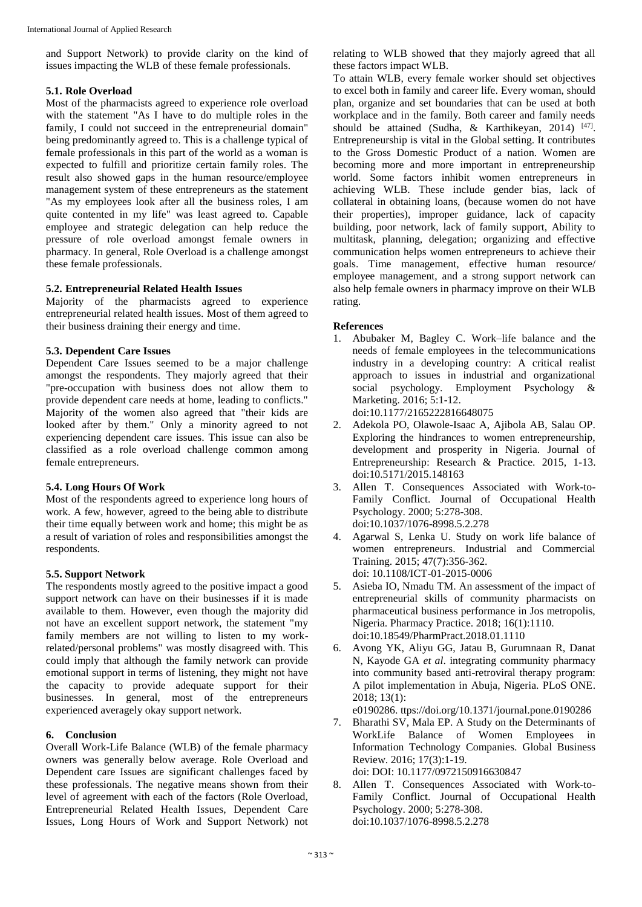and Support Network) to provide clarity on the kind of issues impacting the WLB of these female professionals.

#### **5.1. Role Overload**

Most of the pharmacists agreed to experience role overload with the statement "As I have to do multiple roles in the family, I could not succeed in the entrepreneurial domain" being predominantly agreed to. This is a challenge typical of female professionals in this part of the world as a woman is expected to fulfill and prioritize certain family roles. The result also showed gaps in the human resource/employee management system of these entrepreneurs as the statement "As my employees look after all the business roles, I am quite contented in my life" was least agreed to. Capable employee and strategic delegation can help reduce the pressure of role overload amongst female owners in pharmacy. In general, Role Overload is a challenge amongst these female professionals.

## **5.2. Entrepreneurial Related Health Issues**

Majority of the pharmacists agreed to experience entrepreneurial related health issues. Most of them agreed to their business draining their energy and time.

## **5.3. Dependent Care Issues**

Dependent Care Issues seemed to be a major challenge amongst the respondents. They majorly agreed that their "pre-occupation with business does not allow them to provide dependent care needs at home, leading to conflicts." Majority of the women also agreed that "their kids are looked after by them." Only a minority agreed to not experiencing dependent care issues. This issue can also be classified as a role overload challenge common among female entrepreneurs.

## **5.4. Long Hours Of Work**

Most of the respondents agreed to experience long hours of work. A few, however, agreed to the being able to distribute their time equally between work and home; this might be as a result of variation of roles and responsibilities amongst the respondents.

## **5.5. Support Network**

The respondents mostly agreed to the positive impact a good support network can have on their businesses if it is made available to them. However, even though the majority did not have an excellent support network, the statement "my family members are not willing to listen to my workrelated/personal problems" was mostly disagreed with. This could imply that although the family network can provide emotional support in terms of listening, they might not have the capacity to provide adequate support for their businesses. In general, most of the entrepreneurs experienced averagely okay support network.

#### **6. Conclusion**

Overall Work-Life Balance (WLB) of the female pharmacy owners was generally below average. Role Overload and Dependent care Issues are significant challenges faced by these professionals. The negative means shown from their level of agreement with each of the factors (Role Overload, Entrepreneurial Related Health Issues, Dependent Care Issues, Long Hours of Work and Support Network) not

relating to WLB showed that they majorly agreed that all these factors impact WLB.

To attain WLB, every female worker should set objectives to excel both in family and career life. Every woman, should plan, organize and set boundaries that can be used at both workplace and in the family. Both career and family needs should be attained (Sudha, & Karthikeyan, 2014)  $[47]$ . Entrepreneurship is vital in the Global setting. It contributes to the Gross Domestic Product of a nation. Women are becoming more and more important in entrepreneurship world. Some factors inhibit women entrepreneurs in achieving WLB. These include gender bias, lack of collateral in obtaining loans, (because women do not have their properties), improper guidance, lack of capacity building, poor network, lack of family support, Ability to multitask, planning, delegation; organizing and effective communication helps women entrepreneurs to achieve their goals. Time management, effective human resource/ employee management, and a strong support network can also help female owners in pharmacy improve on their WLB rating.

#### **References**

- 1. Abubaker M, Bagley C. Work–life balance and the needs of female employees in the telecommunications industry in a developing country: A critical realist approach to issues in industrial and organizational social psychology. Employment Psychology & Marketing. 2016; 5:1-12. doi:10.1177/2165222816648075
- 2. Adekola PO, Olawole-Isaac A, Ajibola AB, Salau OP. Exploring the hindrances to women entrepreneurship, development and prosperity in Nigeria. Journal of Entrepreneurship: Research & Practice. 2015, 1-13. doi:10.5171/2015.148163
- 3. Allen T. Consequences Associated with Work-to-Family Conflict. Journal of Occupational Health Psychology. 2000; 5:278-308. doi:10.1037/1076-8998.5.2.278
- 4. Agarwal S, Lenka U. Study on work life balance of women entrepreneurs. Industrial and Commercial Training. 2015; 47(7):356-362. doi: 10.1108/ICT-01-2015-0006
- 5. Asieba IO, Nmadu TM. An assessment of the impact of entrepreneurial skills of community pharmacists on pharmaceutical business performance in Jos metropolis, Nigeria. Pharmacy Practice. 2018; 16(1):1110. doi:10.18549/PharmPract.2018.01.1110
- 6. Avong YK, Aliyu GG, Jatau B, Gurumnaan R, Danat N, Kayode GA *et al*. integrating community pharmacy into community based anti-retroviral therapy program: A pilot implementation in Abuja, Nigeria. PLoS ONE. 2018; 13(1):

e0190286. ttps://doi.org/10.1371/journal.pone.0190286

- 7. Bharathi SV, Mala EP. A Study on the Determinants of WorkLife Balance of Women Employees in Information Technology Companies. Global Business Review. 2016; 17(3):1-19. doi: DOI: 10.1177/0972150916630847
- 8. Allen T. Consequences Associated with Work-to-Family Conflict. Journal of Occupational Health Psychology. 2000; 5:278-308. doi:10.1037/1076-8998.5.2.278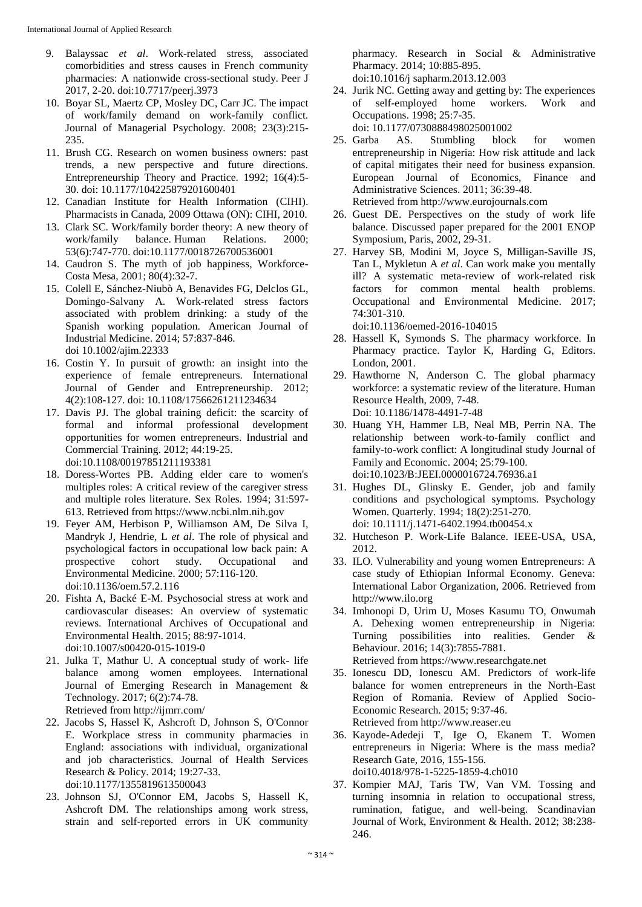- 9. Balayssac *et al*. Work-related stress, associated comorbidities and stress causes in French community pharmacies: A nationwide cross-sectional study. Peer J 2017, 2-20. doi:10.7717/peerj.3973
- 10. Boyar SL, Maertz CP, Mosley DC, Carr JC. The impact of work/family demand on work-family conflict. Journal of Managerial Psychology. 2008; 23(3):215- 235.
- 11. Brush CG. Research on women business owners: past trends, a new perspective and future directions. Entrepreneurship Theory and Practice. 1992; 16(4):5- 30. doi: 10.1177/104225879201600401
- 12. Canadian Institute for Health Information (CIHI). Pharmacists in Canada, 2009 Ottawa (ON): CIHI, 2010.
- 13. Clark SC. Work/family border theory: A new theory of work/family balance. Human Relations. 2000; 53(6):747-770. doi:10.1177/0018726700536001
- 14. Caudron S. The myth of job happiness, Workforce-Costa Mesa, 2001; 80(4):32-7.
- 15. Colell E, Sánchez-Niubò A, Benavides FG, Delclos GL, Domingo-Salvany A. Work-related stress factors associated with problem drinking: a study of the Spanish working population. American Journal of Industrial Medicine. 2014; 57:837-846. doi 10.1002/ajim.22333
- 16. Costin Y. In pursuit of growth: an insight into the experience of female entrepreneurs. International Journal of Gender and Entrepreneurship. 2012; 4(2):108-127. doi: 10.1108/17566261211234634
- 17. Davis PJ. The global training deficit: the scarcity of formal and informal professional development opportunities for women entrepreneurs. Industrial and Commercial Training. 2012; 44:19-25. doi:10.1108/00197851211193381
- 18. Doress-Wortes PB. Adding elder care to women's multiples roles: A critical review of the caregiver stress and multiple roles literature. Sex Roles. 1994; 31:597- 613. Retrieved from https://www.ncbi.nlm.nih.gov
- 19. Feyer AM, Herbison P, Williamson AM, De Silva I, Mandryk J, Hendrie, L *et al*. The role of physical and psychological factors in occupational low back pain: A prospective cohort study. Occupational and Environmental Medicine. 2000; 57:116-120. doi:10.1136/oem.57.2.116
- 20. Fishta A, Backé E-M. Psychosocial stress at work and cardiovascular diseases: An overview of systematic reviews. International Archives of Occupational and Environmental Health. 2015; 88:97-1014. doi:10.1007/s00420-015-1019-0
- 21. Julka T, Mathur U. A conceptual study of work- life balance among women employees. International Journal of Emerging Research in Management & Technology. 2017; 6(2):74-78. Retrieved from http://ijmrr.com/
- 22. Jacobs S, Hassel K, Ashcroft D, Johnson S, O'Connor E. Workplace stress in community pharmacies in England: associations with individual, organizational and job characteristics. Journal of Health Services Research & Policy. 2014; 19:27-33. doi:10.1177/1355819613500043
- 23. Johnson SJ, O'Connor EM, Jacobs S, Hassell K, Ashcroft DM. The relationships among work stress, strain and self-reported errors in UK community

pharmacy. Research in Social & Administrative Pharmacy. 2014; 10:885-895. doi:10.1016/j sapharm.2013.12.003

24. Jurik NC. Getting away and getting by: The experiences of self-employed home workers. Work and Occupations. 1998; 25:7-35.

doi: 10.1177/0730888498025001002

25. Garba AS. Stumbling block for women entrepreneurship in Nigeria: How risk attitude and lack of capital mitigates their need for business expansion. European Journal of Economics, Finance and Administrative Sciences. 2011; 36:39-48.

Retrieved from http://www.eurojournals.com

- 26. Guest DE. Perspectives on the study of work life balance. Discussed paper prepared for the 2001 ENOP Symposium, Paris, 2002, 29-31.
- 27. Harvey SB, Modini M, Joyce S, Milligan-Saville JS, Tan L, Mykletun A *et al*. Can work make you mentally ill? A systematic meta-review of work-related risk factors for common mental health problems. Occupational and Environmental Medicine. 2017; 74:301-310.

doi:10.1136/oemed-2016-104015

- 28. Hassell K, Symonds S. The pharmacy workforce. In Pharmacy practice. Taylor K, Harding G, Editors. London, 2001.
- 29. Hawthorne N, Anderson C. The global pharmacy workforce: a systematic review of the literature. Human Resource Health, 2009, 7-48. Doi: 10.1186/1478-4491-7-48
- 30. Huang YH, Hammer LB, Neal MB, Perrin NA. The relationship between work-to-family conflict and family-to-work conflict: A longitudinal study Journal of Family and Economic. 2004; 25:79-100. doi:10.1023/B:JEEI.0000016724.76936.a1
- 31. Hughes DL, Glinsky E. Gender, job and family conditions and psychological symptoms. Psychology Women. Quarterly. 1994; 18(2):251-270. doi: 10.1111/j.1471-6402.1994.tb00454.x
- 32. Hutcheson P. Work-Life Balance. IEEE-USA, USA, 2012.
- 33. ILO. Vulnerability and young women Entrepreneurs: A case study of Ethiopian Informal Economy. Geneva: International Labor Organization, 2006. Retrieved from http://www.ilo.org
- 34. Imhonopi D, Urim U, Moses Kasumu TO, Onwumah A. Dehexing women entrepreneurship in Nigeria: Turning possibilities into realities. Gender & Behaviour. 2016; 14(3):7855-7881. Retrieved from https://www.researchgate.net
- 35. Ionescu DD, Ionescu AM. Predictors of work-life balance for women entrepreneurs in the North-East Region of Romania. Review of Applied Socio-Economic Research. 2015; 9:37-46. Retrieved from http://www.reaser.eu
- 36. Kayode-Adedeji T, Ige O, Ekanem T. Women entrepreneurs in Nigeria: Where is the mass media? Research Gate, 2016, 155-156. doi10.4018/978-1-5225-1859-4.ch010
- 37. Kompier MAJ, Taris TW, Van VM. Tossing and turning insomnia in relation to occupational stress, rumination, fatigue, and well-being. Scandinavian Journal of Work, Environment & Health. 2012; 38:238- 246.